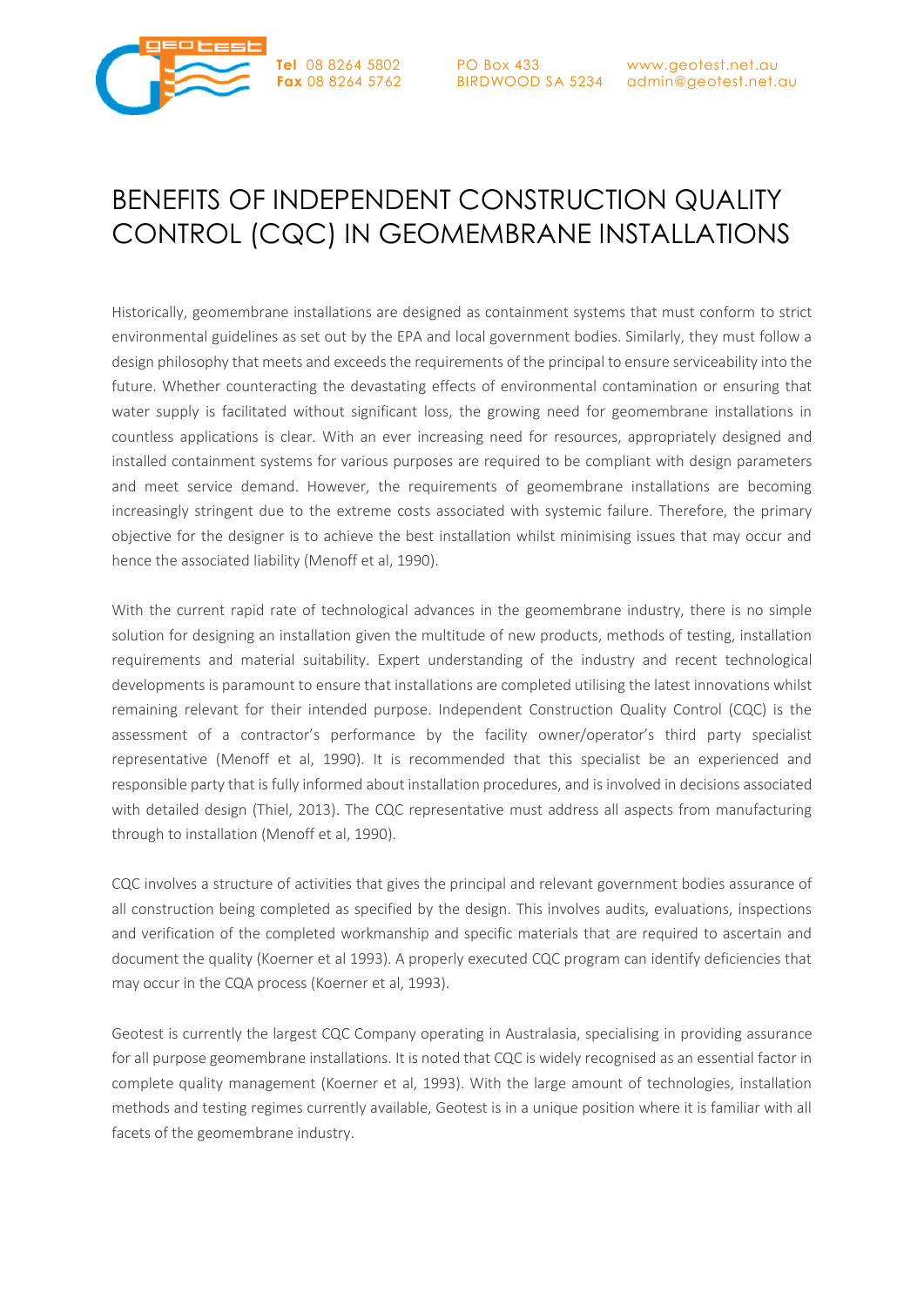



# BENEFITS OF INDEPENDENT CONSTRUCTION QUALITY CONTROL (CQC) IN GEOMEMBRANE INSTALLATIONS

Historically, geomembrane installations are designed as containment systems that must conform to strict environmental guidelines as set out by the EPA and local government bodies. Similarly, they must follow a design philosophy that meets and exceeds the requirements of the principal to ensure serviceability into the future. Whether counteracting the devastating effects of environmental contamination or ensuring that water supply is facilitated without significant loss, the growing need for geomembrane installations in countless applications is clear. With an ever increasing need for resources, appropriately designed and installed containment systems for various purposes are required to be compliant with design parameters and meet service demand. However, the requirements of geomembrane installations are becoming increasingly stringent due to the extreme costs associated with systemic failure. Therefore, the primary objective for the designer is to achieve the best installation whilst minimising issues that may occur and hence the associated liability (Menoff et al, 1990).

With the current rapid rate of technological advances in the geomembrane industry, there is no simple solution for designing an installation given the multitude of new products, methods of testing, installation requirements and material suitability. Expert understanding of the industry and recent technological developments is paramount to ensure that installations are completed utilising the latest innovations whilst remaining relevant for their intended purpose. Independent Construction Quality Control (CQC) is the assessment of a contractor's performance by the facility owner/operator's third party specialist representative (Menoff et al, 1990). It is recommended that this specialist be an experienced and responsible party that is fully informed about installation procedures, and is involved in decisions associated with detailed design (Thiel, 2013). The CQC representative must address all aspects from manufacturing through to installation (Menoff et al, 1990).

CQC involves a structure of activities that gives the principal and relevant government bodies assurance of all construction being completed as specified by the design. This involves audits, evaluations, inspections and verification of the completed workmanship and specific materials that are required to ascertain and document the quality (Koerner et al 1993). A properly executed CQC program can identify deficiencies that may occur in the CQA process (Koerner et al, 1993).

Geotest is currently the largest CQC Company operating in Australasia, specialising in providing assurance for all purpose geomembrane installations. It is noted that CQC is widely recognised as an essential factor in complete quality management (Koerner et al, 1993). With the large amount of technologies, installation methods and testing regimes currently available, Geotest is in a unique position where it is familiar with all facets of the geomembrane industry.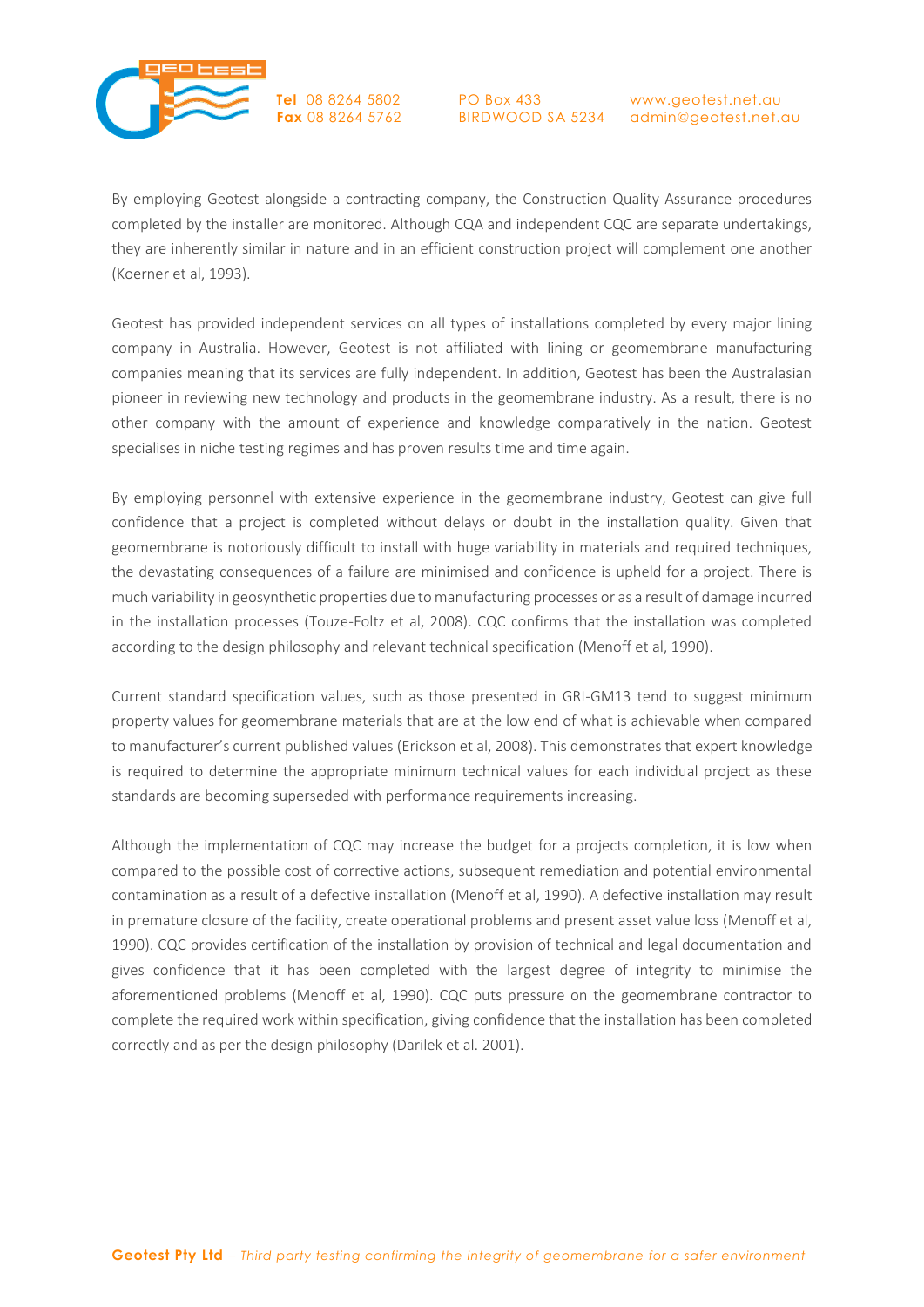

PO Box 433

BIRDWOOD SA 5234 admin@geotest.net.au www.geotest.net.au

By employing Geotest alongside a contracting company, the Construction Quality Assurance procedures completed by the installer are monitored. Although CQA and independent CQC are separate undertakings, they are inherently similar in nature and in an efficient construction project will complement one another (Koerner et al, 1993).

Geotest has provided independent services on all types of installations completed by every major lining company in Australia. However, Geotest is not affiliated with lining or geomembrane manufacturing companies meaning that its services are fully independent. In addition, Geotest has been the Australasian pioneer in reviewing new technology and products in the geomembrane industry. As a result, there is no other company with the amount of experience and knowledge comparatively in the nation. Geotest specialises in niche testing regimes and has proven results time and time again.

By employing personnel with extensive experience in the geomembrane industry, Geotest can give full confidence that a project is completed without delays or doubt in the installation quality. Given that geomembrane is notoriously difficult to install with huge variability in materials and required techniques, the devastating consequences of a failure are minimised and confidence is upheld for a project. There is much variability in geosynthetic properties due to manufacturing processes or as a result of damage incurred in the installation processes (Touze-Foltz et al, 2008). CQC confirms that the installation was completed according to the design philosophy and relevant technical specification (Menoff et al, 1990).

Current standard specification values, such as those presented in GRI-GM13 tend to suggest minimum property values for geomembrane materials that are at the low end of what is achievable when compared to manufacturer's current published values (Erickson et al, 2008). This demonstrates that expert knowledge is required to determine the appropriate minimum technical values for each individual project as these standards are becoming superseded with performance requirements increasing.

Although the implementation of CQC may increase the budget for a projects completion, it is low when compared to the possible cost of corrective actions, subsequent remediation and potential environmental contamination as a result of a defective installation (Menoff et al, 1990). A defective installation may result in premature closure of the facility, create operational problems and present asset value loss (Menoff et al, 1990). CQC provides certification of the installation by provision of technical and legal documentation and gives confidence that it has been completed with the largest degree of integrity to minimise the aforementioned problems (Menoff et al, 1990). CQC puts pressure on the geomembrane contractor to complete the required work within specification, giving confidence that the installation has been completed correctly and as per the design philosophy (Darilek et al. 2001).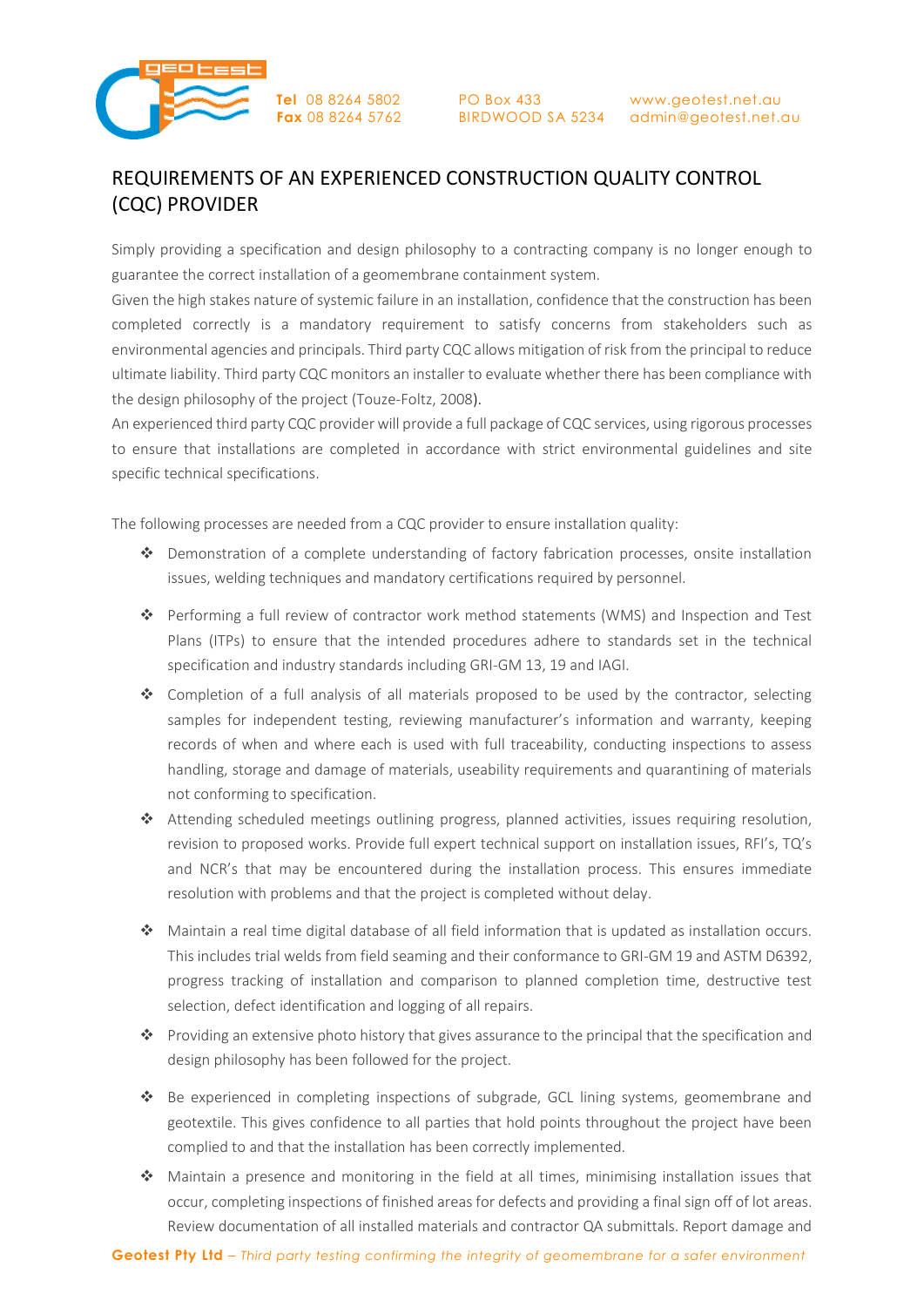

PO Box 433

BIRDWOOD SA 5234 admin@geotest.net.au www.geotest.net.au

## REQUIREMENTS OF AN EXPERIENCED CONSTRUCTION QUALITY CONTROL (CQC) PROVIDER

Simply providing a specification and design philosophy to a contracting company is no longer enough to guarantee the correct installation of a geomembrane containment system.

Given the high stakes nature of systemic failure in an installation, confidence that the construction has been completed correctly is a mandatory requirement to satisfy concerns from stakeholders such as environmental agencies and principals. Third party CQC allows mitigation of risk from the principal to reduce ultimate liability. Third party CQC monitors an installer to evaluate whether there has been compliance with the design philosophy of the project (Touze-Foltz, 2008).

An experienced third party CQC provider will provide a full package of CQC services, using rigorous processes to ensure that installations are completed in accordance with strict environmental guidelines and site specific technical specifications.

The following processes are needed from a CQC provider to ensure installation quality:

- Demonstration of a complete understanding of factory fabrication processes, onsite installation issues, welding techniques and mandatory certifications required by personnel.
- Performing a full review of contractor work method statements (WMS) and Inspection and Test Plans (ITPs) to ensure that the intended procedures adhere to standards set in the technical specification and industry standards including GRI-GM 13, 19 and IAGI.
- ◆ Completion of a full analysis of all materials proposed to be used by the contractor, selecting samples for independent testing, reviewing manufacturer's information and warranty, keeping records of when and where each is used with full traceability, conducting inspections to assess handling, storage and damage of materials, useability requirements and quarantining of materials not conforming to specification.
- Attending scheduled meetings outlining progress, planned activities, issues requiring resolution, revision to proposed works. Provide full expert technical support on installation issues, RFI's, TQ's and NCR's that may be encountered during the installation process. This ensures immediate resolution with problems and that the project is completed without delay.
- Maintain a real time digital database of all field information that is updated as installation occurs. This includes trial welds from field seaming and their conformance to GRI-GM 19 and ASTM D6392, progress tracking of installation and comparison to planned completion time, destructive test selection, defect identification and logging of all repairs.
- Providing an extensive photo history that gives assurance to the principal that the specification and design philosophy has been followed for the project.
- Be experienced in completing inspections of subgrade, GCL lining systems, geomembrane and geotextile. This gives confidence to all parties that hold points throughout the project have been complied to and that the installation has been correctly implemented.
- Maintain a presence and monitoring in the field at all times, minimising installation issues that occur, completing inspections of finished areas for defects and providing a final sign off of lot areas. Review documentation of all installed materials and contractor QA submittals. Report damage and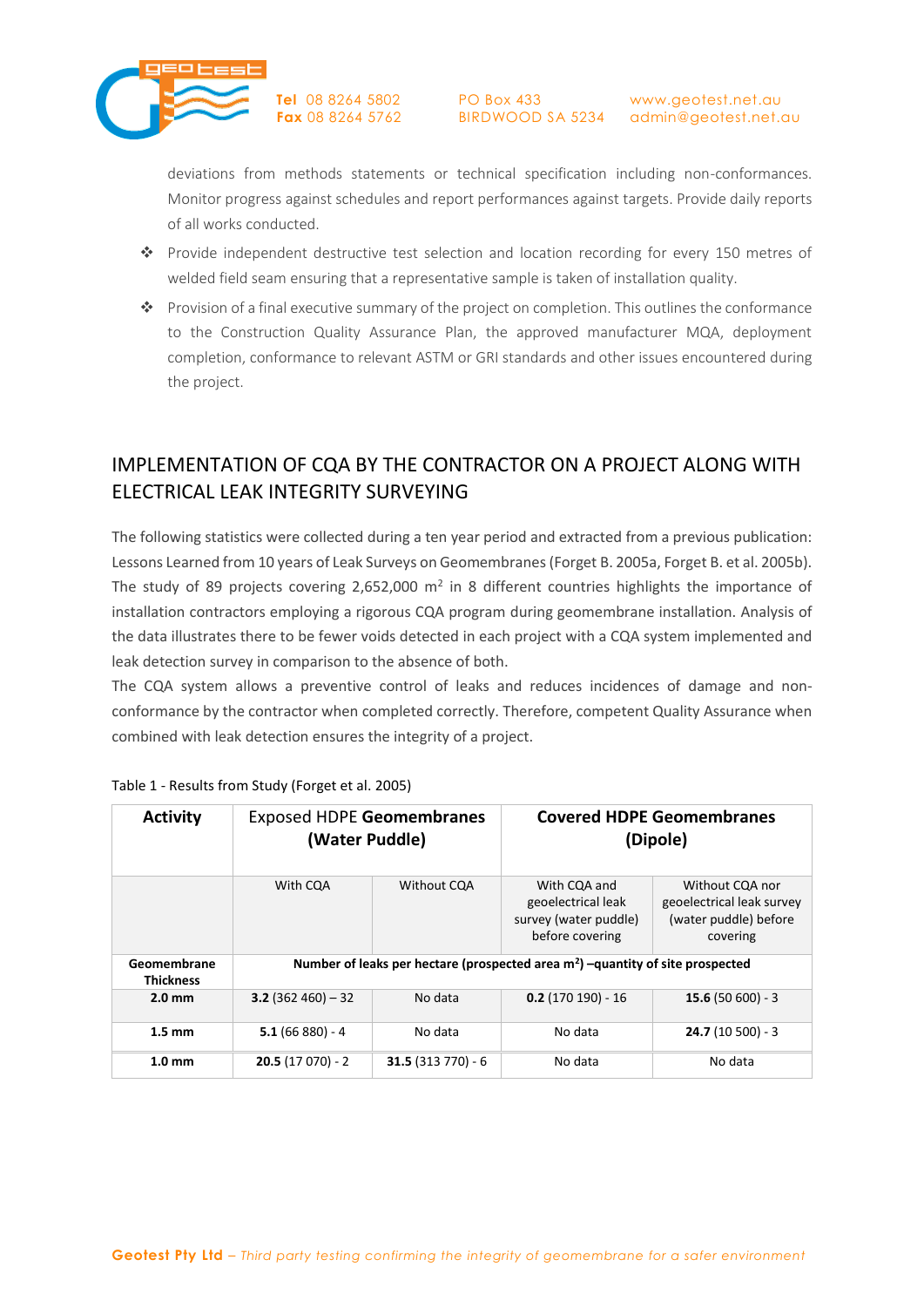

PO Box 433

BIRDWOOD SA 5234 admin@geotest.net.au www.geotest.net.au

deviations from methods statements or technical specification including non-conformances. Monitor progress against schedules and report performances against targets. Provide daily reports of all works conducted.

- Provide independent destructive test selection and location recording for every 150 metres of welded field seam ensuring that a representative sample is taken of installation quality.
- Provision of a final executive summary of the project on completion. This outlines the conformance to the Construction Quality Assurance Plan, the approved manufacturer MQA, deployment completion, conformance to relevant ASTM or GRI standards and other issues encountered during the project.

## IMPLEMENTATION OF CQA BY THE CONTRACTOR ON A PROJECT ALONG WITH ELECTRICAL LEAK INTEGRITY SURVEYING

The following statistics were collected during a ten year period and extracted from a previous publication: Lessons Learned from 10 years of Leak Surveys on Geomembranes (Forget B. 2005a, Forget B. et al. 2005b). The study of 89 projects covering 2,652,000  $m^2$  in 8 different countries highlights the importance of installation contractors employing a rigorous CQA program during geomembrane installation. Analysis of the data illustrates there to be fewer voids detected in each project with a CQA system implemented and leak detection survey in comparison to the absence of both.

The CQA system allows a preventive control of leaks and reduces incidences of damage and nonconformance by the contractor when completed correctly. Therefore, competent Quality Assurance when combined with leak detection ensures the integrity of a project.

| <b>Activity</b>                 | <b>Exposed HDPE Geomembranes</b><br>(Water Puddle)                                         |                    | <b>Covered HDPE Geomembranes</b><br>(Dipole)                                   |                                                                                   |  |  |
|---------------------------------|--------------------------------------------------------------------------------------------|--------------------|--------------------------------------------------------------------------------|-----------------------------------------------------------------------------------|--|--|
|                                 | With COA                                                                                   | <b>Without COA</b> | With CQA and<br>geoelectrical leak<br>survey (water puddle)<br>before covering | Without CQA nor<br>geoelectrical leak survey<br>(water puddle) before<br>covering |  |  |
| Geomembrane<br><b>Thickness</b> | Number of leaks per hectare (prospected area m <sup>2</sup> ) -quantity of site prospected |                    |                                                                                |                                                                                   |  |  |
| $2.0 \text{ mm}$                | $3.2(362460) - 32$                                                                         | No data            | $0.2(170190) - 16$                                                             | $15.6(50600) - 3$                                                                 |  |  |
| $1.5 \text{ mm}$                | $5.1(66 880) - 4$                                                                          | No data            | No data                                                                        | $24.7(10500) - 3$                                                                 |  |  |
| 1.0 <sub>mm</sub>               | $20.5(17070) - 2$                                                                          | $31.5(313770) - 6$ | No data                                                                        | No data                                                                           |  |  |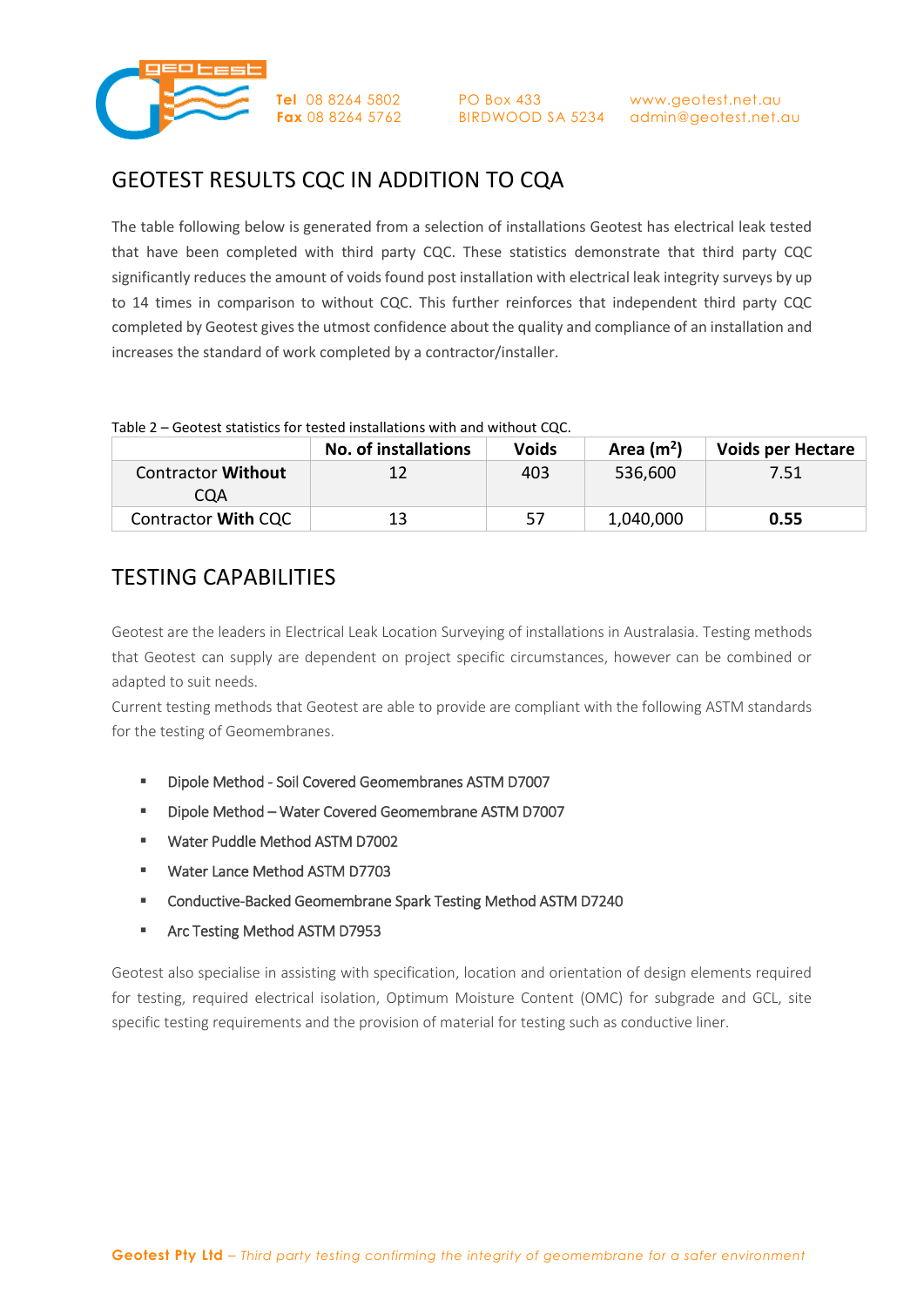

## GEOTEST RESULTS CQC IN ADDITION TO CQA

The table following below is generated from a selection of installations Geotest has electrical leak tested that have been completed with third party CQC. These statistics demonstrate that third party CQC significantly reduces the amount of voids found post installation with electrical leak integrity surveys by up to 14 times in comparison to without CQC. This further reinforces that independent third party CQC completed by Geotest gives the utmost confidence about the quality and compliance of an installation and increases the standard of work completed by a contractor/installer.

|                                  | <b>No. of installations</b> | <b>Voids</b> | Area $(m2)$ | <b>Voids per Hectare</b> |
|----------------------------------|-----------------------------|--------------|-------------|--------------------------|
| <b>Contractor Without</b><br>COA | 12                          | 403          | 536,600     | 7.51                     |
| Contractor With CQC              | 13                          | 57           | 1,040,000   | 0.55                     |

## TESTING CAPABILITIES

Geotest are the leaders in Electrical Leak Location Surveying of installations in Australasia. Testing methods that Geotest can supply are dependent on project specific circumstances, however can be combined or adapted to suit needs.

Current testing methods that Geotest are able to provide are compliant with the following ASTM standards for the testing of Geomembranes.

- Dipole Method Soil Covered Geomembranes ASTM D7007
- Dipole Method Water Covered Geomembrane ASTM D7007
- Water Puddle Method ASTM D7002
- **Water Lance Method ASTM D7703**
- Conductive-Backed Geomembrane Spark Testing Method ASTM D7240
- **Arc Testing Method ASTM D7953**

Geotest also specialise in assisting with specification, location and orientation of design elements required for testing, required electrical isolation, Optimum Moisture Content (OMC) for subgrade and GCL, site specific testing requirements and the provision of material for testing such as conductive liner.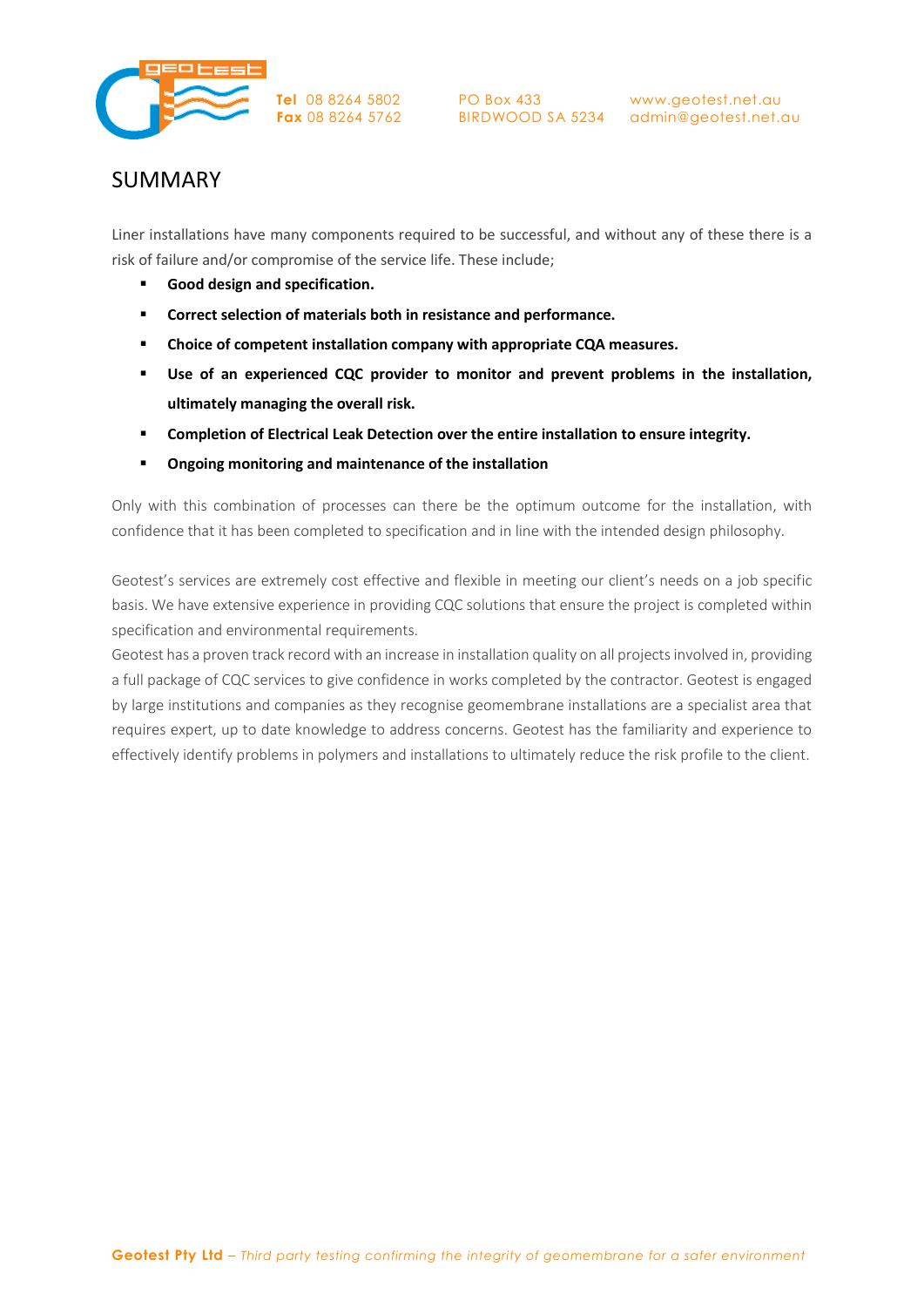

PO Box 433

## SUMMARY

Liner installations have many components required to be successful, and without any of these there is a risk of failure and/or compromise of the service life. These include;

- **Good design and specification.**
- **Correct selection of materials both in resistance and performance.**
- **Choice of competent installation company with appropriate CQA measures.**
- **Use of an experienced CQC provider to monitor and prevent problems in the installation, ultimately managing the overall risk.**
- **Completion of Electrical Leak Detection over the entire installation to ensure integrity.**
- **Ongoing monitoring and maintenance of the installation**

Only with this combination of processes can there be the optimum outcome for the installation, with confidence that it has been completed to specification and in line with the intended design philosophy.

Geotest's services are extremely cost effective and flexible in meeting our client's needs on a job specific basis. We have extensive experience in providing CQC solutions that ensure the project is completed within specification and environmental requirements.

Geotest has a proven track record with an increase in installation quality on all projects involved in, providing a full package of CQC services to give confidence in works completed by the contractor. Geotest is engaged by large institutions and companies as they recognise geomembrane installations are a specialist area that requires expert, up to date knowledge to address concerns. Geotest has the familiarity and experience to effectively identify problems in polymers and installations to ultimately reduce the risk profile to the client.